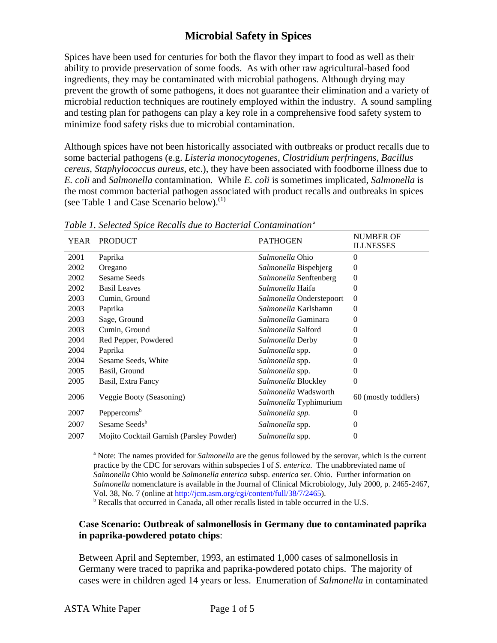Spices have been used for centuries for both the flavor they impart to food as well as their ability to provide preservation of some foods. As with other raw agricultural-based food ingredients, they may be contaminated with microbial pathogens. Although drying may prevent the growth of some pathogens, it does not guarantee their elimination and a variety of microbial reduction techniques are routinely employed within the industry. A sound sampling and testing plan for pathogens can play a key role in a comprehensive food safety system to minimize food safety risks due to microbial contamination.

Although spices have not been historically associated with outbreaks or product recalls due to some bacterial pathogens (e.g. *Listeria monocytogenes*, *Clostridium perfringens*, *Bacillus cereus*, *Staphylococcus aureus*, etc.), they have been associated with foodborne illness due to *E. coli* and *Salmonella* contamination*.* While *E. coli* is sometimes implicated, *Salmonella* is the most common bacterial pathogen associated with product recalls and outbreaks in spices (see Table 1 and Case Scenario below). $^{(1)}$ 

| YEAR | <b>PRODUCT</b>                           | <b>PATHOGEN</b>                                | <b>NUMBER OF</b><br><b>ILLNESSES</b> |
|------|------------------------------------------|------------------------------------------------|--------------------------------------|
| 2001 | Paprika                                  | Salmonella Ohio                                | $\Omega$                             |
| 2002 | Oregano                                  | Salmonella Bispebjerg                          | $\Omega$                             |
| 2002 | <b>Sesame Seeds</b>                      | Salmonella Senftenberg                         | $\theta$                             |
| 2002 | <b>Basil Leaves</b>                      | Salmonella Haifa                               | $\Omega$                             |
| 2003 | Cumin, Ground                            | Salmonella Onderstepoort                       | $\mathbf{0}$                         |
| 2003 | Paprika                                  | Salmonella Karlshamn                           | 0                                    |
| 2003 | Sage, Ground                             | Salmonella Gaminara                            | 0                                    |
| 2003 | Cumin, Ground                            | Salmonella Salford                             | 0                                    |
| 2004 | Red Pepper, Powdered                     | Salmonella Derby                               | 0                                    |
| 2004 | Paprika                                  | Salmonella spp.                                | 0                                    |
| 2004 | Sesame Seeds, White                      | Salmonella spp.                                | $\mathbf{0}$                         |
| 2005 | Basil, Ground                            | Salmonella spp.                                | 0                                    |
| 2005 | Basil, Extra Fancy                       | Salmonella Blockley                            | $\theta$                             |
| 2006 | Veggie Booty (Seasoning)                 | Salmonella Wadsworth<br>Salmonella Typhimurium | 60 (mostly toddlers)                 |
| 2007 | Peppercorns <sup>b</sup>                 | Salmonella spp.                                | 0                                    |
| 2007 | Sesame Seeds <sup>b</sup>                | Salmonella spp.                                | $\mathbf{0}$                         |
| 2007 | Mojito Cocktail Garnish (Parsley Powder) | Salmonella spp.                                | $\theta$                             |

*Table 1. Selected Spice Recalls due to Bacterial Contamination*<sup>a</sup>

<sup>a</sup> Note: The names provided for *Salmonella* are the genus followed by the serovar, which is the current practice by the CDC for serovars within subspecies I of *S. enterica*. The unabbreviated name of *Salmonella* Ohio would be *Salmonella enterica* subsp. *enterica* ser. Ohio. Further information on *Salmonella* nomenclature is available in the Journal of Clinical Microbiology, July 2000, p. 2465-2467, Vol. 38, No. 7 (online at [http://jcm.asm.org/cgi/content/full/38/7/2465\)](http://jcm.asm.org/cgi/content/full/38/7/2465).  $<sup>b</sup>$  Recalls that occurred in Canada, all other recalls listed in table occurred in the U.S.</sup>

### **Case Scenario: Outbreak of salmonellosis in Germany due to contaminated paprika in paprika-powdered potato chips**:

Between April and September, 1993, an estimated 1,000 cases of salmonellosis in Germany were traced to paprika and paprika-powdered potato chips. The majority of cases were in children aged 14 years or less. Enumeration of *Salmonella* in contaminated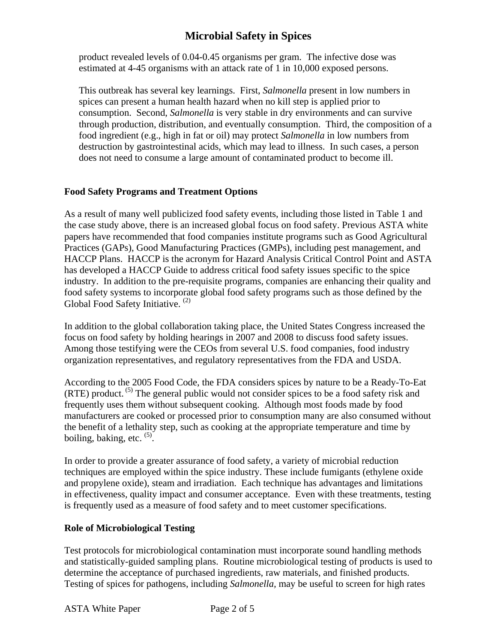product revealed levels of 0.04-0.45 organisms per gram. The infective dose was estimated at 4-45 organisms with an attack rate of 1 in 10,000 exposed persons.

This outbreak has several key learnings. First, *Salmonella* present in low numbers in spices can present a human health hazard when no kill step is applied prior to consumption. Second, *Salmonella* is very stable in dry environments and can survive through production, distribution, and eventually consumption. Third, the composition of a food ingredient (e.g., high in fat or oil) may protect *Salmonella* in low numbers from destruction by gastrointestinal acids, which may lead to illness. In such cases, a person does not need to consume a large amount of contaminated product to become ill.

### **Food Safety Programs and Treatment Options**

As a result of many well publicized food safety events, including those listed in Table 1 and the case study above, there is an increased global focus on food safety. Previous ASTA white papers have recommended that food companies institute programs such as Good Agricultural Practices (GAPs), Good Manufacturing Practices (GMPs), including pest management, and HACCP Plans. HACCP is the acronym for Hazard Analysis Critical Control Point and ASTA has developed a HACCP Guide to address critical food safety issues specific to the spice industry. In addition to the pre-requisite programs, companies are enhancing their quality and food safety systems to incorporate global food safety programs such as those defined by the Global Food Safety Initiative.<sup>(2)</sup>

In addition to the global collaboration taking place, the United States Congress increased the focus on food safety by holding hearings in 2007 and 2008 to discuss food safety issues. Among those testifying were the CEOs from several U.S. food companies, food industry organization representatives, and regulatory representatives from the FDA and USDA.

According to the 2005 Food Code, the FDA considers spices by nature to be a Ready-To-Eat  $(RTE)$  product.<sup>(5)</sup> The general public would not consider spices to be a food safety risk and frequently uses them without subsequent cooking. Although most foods made by food manufacturers are cooked or processed prior to consumption many are also consumed without the benefit of a lethality step, such as cooking at the appropriate temperature and time by boiling, baking, etc.  $(5)$ .

In order to provide a greater assurance of food safety, a variety of microbial reduction techniques are employed within the spice industry. These include fumigants (ethylene oxide and propylene oxide), steam and irradiation. Each technique has advantages and limitations in effectiveness, quality impact and consumer acceptance. Even with these treatments, testing is frequently used as a measure of food safety and to meet customer specifications.

### **Role of Microbiological Testing**

Test protocols for microbiological contamination must incorporate sound handling methods and statistically-guided sampling plans. Routine microbiological testing of products is used to determine the acceptance of purchased ingredients, raw materials, and finished products. Testing of spices for pathogens, including *Salmonella,* may be useful to screen for high rates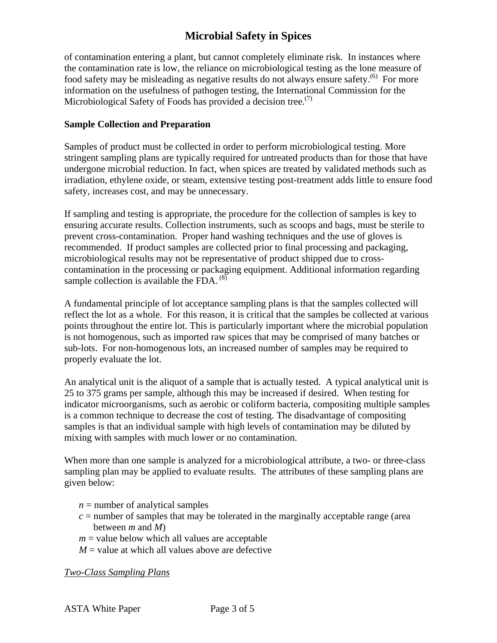of contamination entering a plant, but cannot completely eliminate risk. In instances where the contamination rate is low, the reliance on microbiological testing as the lone measure of food safety may be misleading as negative results do not always ensure safety.<sup>(6)</sup> For more information on the usefulness of pathogen testing, the International Commission for the Microbiological Safety of Foods has provided a decision tree.<sup> $(7)$ </sup>

#### **Sample Collection and Preparation**

Samples of product must be collected in order to perform microbiological testing. More stringent sampling plans are typically required for untreated products than for those that have undergone microbial reduction. In fact, when spices are treated by validated methods such as irradiation, ethylene oxide, or steam, extensive testing post-treatment adds little to ensure food safety, increases cost, and may be unnecessary.

If sampling and testing is appropriate, the procedure for the collection of samples is key to ensuring accurate results. Collection instruments, such as scoops and bags, must be sterile to prevent cross-contamination. Proper hand washing techniques and the use of gloves is recommended. If product samples are collected prior to final processing and packaging, microbiological results may not be representative of product shipped due to crosscontamination in the processing or packaging equipment. Additional information regarding sample collection is available the FDA.  $^{(8)}$ 

A fundamental principle of lot acceptance sampling plans is that the samples collected will reflect the lot as a whole. For this reason, it is critical that the samples be collected at various points throughout the entire lot. This is particularly important where the microbial population is not homogenous, such as imported raw spices that may be comprised of many batches or sub-lots. For non-homogenous lots, an increased number of samples may be required to properly evaluate the lot.

An analytical unit is the aliquot of a sample that is actually tested. A typical analytical unit is 25 to 375 grams per sample, although this may be increased if desired. When testing for indicator microorganisms, such as aerobic or coliform bacteria, compositing multiple samples is a common technique to decrease the cost of testing. The disadvantage of compositing samples is that an individual sample with high levels of contamination may be diluted by mixing with samples with much lower or no contamination.

When more than one sample is analyzed for a microbiological attribute, a two- or three-class sampling plan may be applied to evaluate results. The attributes of these sampling plans are given below:

- $n =$  number of analytical samples
- $c =$  number of samples that may be tolerated in the marginally acceptable range (area between *m* and *M*)
- $m =$  value below which all values are acceptable
- $M$  = value at which all values above are defective

*Two-Class Sampling Plans*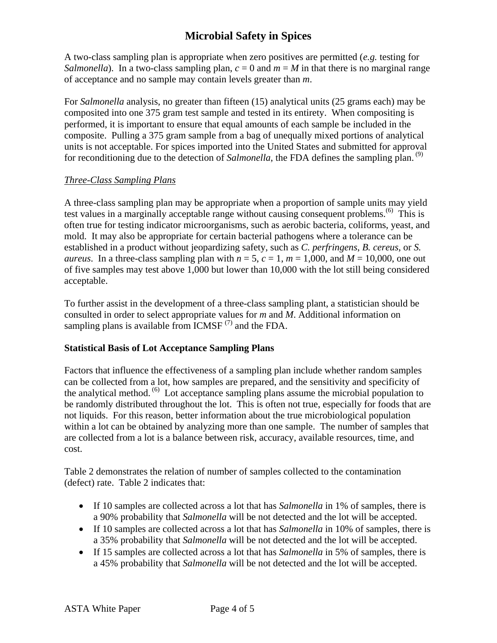A two-class sampling plan is appropriate when zero positives are permitted (*e.g.* testing for *Salmonella*). In a two-class sampling plan,  $c = 0$  and  $m = M$  in that there is no marginal range of acceptance and no sample may contain levels greater than *m*.

For *Salmonella* analysis, no greater than fifteen (15) analytical units (25 grams each) may be composited into one 375 gram test sample and tested in its entirety. When compositing is performed, it is important to ensure that equal amounts of each sample be included in the composite. Pulling a 375 gram sample from a bag of unequally mixed portions of analytical units is not acceptable. For spices imported into the United States and submitted for approval for reconditioning due to the detection of *Salmonella*, the FDA defines the sampling plan.<sup>(9)</sup>

### *Three-Class Sampling Plans*

A three-class sampling plan may be appropriate when a proportion of sample units may yield test values in a marginally acceptable range without causing consequent problems.(6) This is often true for testing indicator microorganisms, such as aerobic bacteria, coliforms, yeast, and mold. It may also be appropriate for certain bacterial pathogens where a tolerance can be established in a product without jeopardizing safety, such as *C. perfringens*, *B. cereus,* or *S. aureus*. In a three-class sampling plan with  $n = 5$ ,  $c = 1$ ,  $m = 1,000$ , and  $M = 10,000$ , one out of five samples may test above 1,000 but lower than 10,000 with the lot still being considered acceptable.

To further assist in the development of a three-class sampling plant, a statistician should be consulted in order to select appropriate values for *m* and *M*. Additional information on sampling plans is available from  $ICMSF$ <sup>(7)</sup> and the FDA.

### **Statistical Basis of Lot Acceptance Sampling Plans**

Factors that influence the effectiveness of a sampling plan include whether random samples can be collected from a lot, how samples are prepared, and the sensitivity and specificity of the analytical method.  $^{(6)}$  Lot acceptance sampling plans assume the microbial population to be randomly distributed throughout the lot. This is often not true, especially for foods that are not liquids. For this reason, better information about the true microbiological population within a lot can be obtained by analyzing more than one sample. The number of samples that are collected from a lot is a balance between risk, accuracy, available resources, time, and cost.

Table 2 demonstrates the relation of number of samples collected to the contamination (defect) rate. Table 2 indicates that:

- If 10 samples are collected across a lot that has *Salmonella* in 1% of samples, there is a 90% probability that *Salmonella* will be not detected and the lot will be accepted.
- If 10 samples are collected across a lot that has *Salmonella* in 10% of samples, there is a 35% probability that *Salmonella* will be not detected and the lot will be accepted.
- If 15 samples are collected across a lot that has *Salmonella* in 5% of samples, there is a 45% probability that *Salmonella* will be not detected and the lot will be accepted.